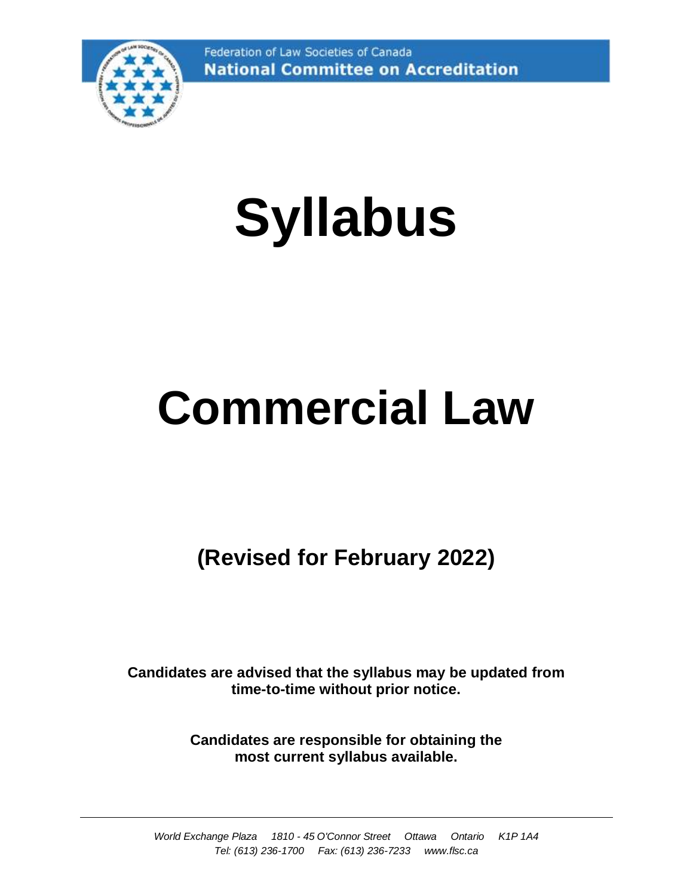

# **Syllabus**

## **Commercial Law**

**(Revised for February 2022)**

**Candidates are advised that the syllabus may be updated from time-to-time without prior notice.**

> **Candidates are responsible for obtaining the most current syllabus available.**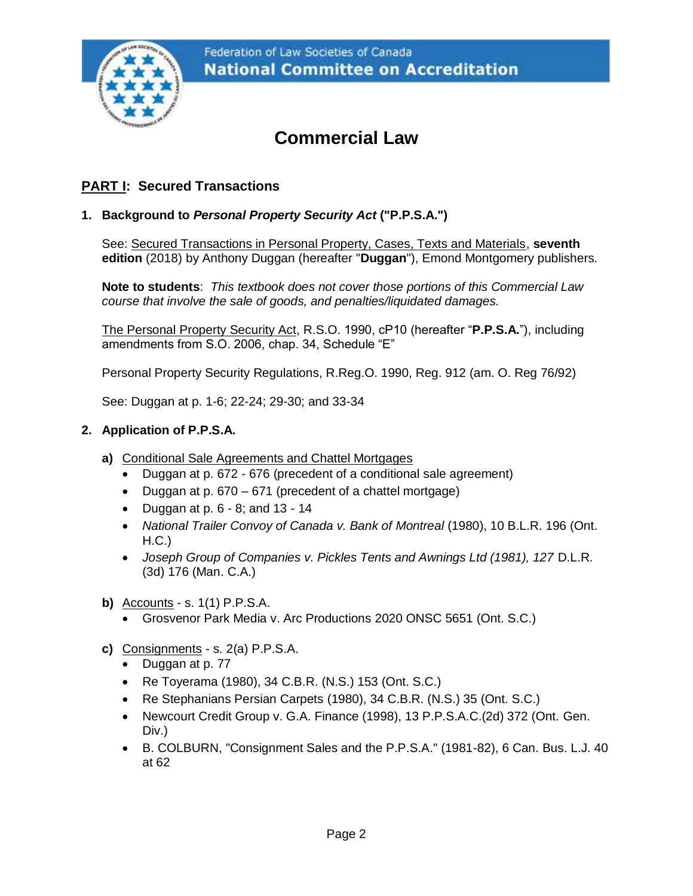

### **Commercial Law**

#### **PART I: Secured Transactions**

#### **1. Background to** *Personal Property Security Act* **("P.P.S.A.")**

See: Secured Transactions in Personal Property, Cases, Texts and Materials, **seventh edition** (2018) by Anthony Duggan (hereafter "**Duggan**"), Emond Montgomery publishers.

**Note to students**: *This textbook does not cover those portions of this Commercial Law course that involve the sale of goods, and penalties/liquidated damages.* 

The Personal Property Security Act, R.S.O. 1990, cP10 (hereafter "**P.P.S.A.**"), including amendments from S.O. 2006, chap. 34, Schedule "E"

Personal Property Security Regulations, R.Reg.O. 1990, Reg. 912 (am. O. Reg 76/92)

See: Duggan at p. 1-6; 22-24; 29-30; and 33-34

#### **2. Application of P.P.S.A.**

- **a)** Conditional Sale Agreements and Chattel Mortgages
	- Duggan at p. 672 676 (precedent of a conditional sale agreement)
	- Duggan at p. 670 671 (precedent of a chattel mortgage)
	- Duggan at  $p. 6 8$ ; and  $13 14$
	- *National Trailer Convoy of Canada v. Bank of Montreal* (1980), 10 B.L.R. 196 (Ont. H.C.)
	- Joseph Group of Companies v. Pickles Tents and Awnings Ltd (1981), 127 D.L.R. (3d) 176 (Man. C.A.)
- **b)** Accounts s. 1(1) P.P.S.A.
	- Grosvenor Park Media v. Arc Productions 2020 ONSC 5651 (Ont. S.C.)
- **c)** Consignments s. 2(a) P.P.S.A.
	- Duggan at p. 77
	- Re Toyerama (1980), 34 C.B.R. (N.S.) 153 (Ont. S.C.)
	- Re Stephanians Persian Carpets (1980), 34 C.B.R. (N.S.) 35 (Ont. S.C.)
	- Newcourt Credit Group v. G.A. Finance (1998), 13 P.P.S.A.C.(2d) 372 (Ont. Gen. Div.)
	- B. COLBURN, "Consignment Sales and the P.P.S.A." (1981-82), 6 Can. Bus. L.J. 40 at 62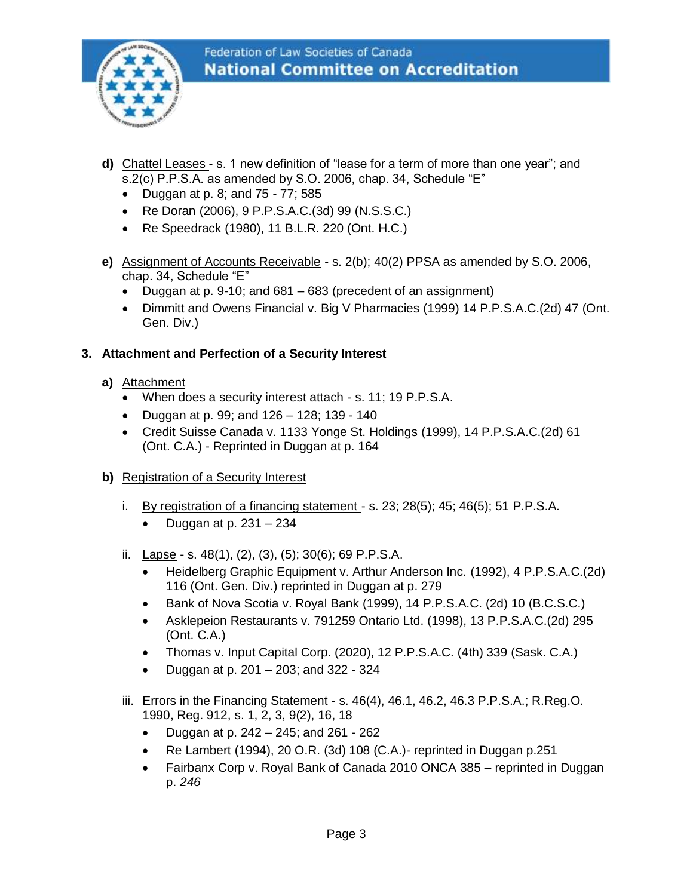

- **d)** Chattel Leases s. 1 new definition of "lease for a term of more than one year"; and s.2(c) P.P.S.A. as amended by S.O. 2006, chap. 34, Schedule "E"
	- Duggan at p. 8; and 75 77; 585
	- Re Doran (2006), 9 P.P.S.A.C.(3d) 99 (N.S.S.C.)
	- Re Speedrack (1980), 11 B.L.R. 220 (Ont. H.C.)
- **e)** Assignment of Accounts Receivable s. 2(b); 40(2) PPSA as amended by S.O. 2006, chap. 34, Schedule "E"
	- Duggan at p. 9-10; and 681 683 (precedent of an assignment)
	- Dimmitt and Owens Financial v. Big V Pharmacies (1999) 14 P.P.S.A.C.(2d) 47 (Ont. Gen. Div.)

#### **3. Attachment and Perfection of a Security Interest**

- **a)** Attachment
	- When does a security interest attach s. 11; 19 P.P.S.A.
	- Duggan at p. 99; and 126 128; 139 140
	- Credit Suisse Canada v. 1133 Yonge St. Holdings (1999), 14 P.P.S.A.C.(2d) 61 (Ont. C.A.) - Reprinted in Duggan at p. 164
- **b)** Registration of a Security Interest
	- i. By registration of a financing statement s. 23; 28(5); 45; 46(5); 51 P.P.S.A.
		- Duggan at p. 231 234
	- ii. Lapse s. 48(1), (2), (3), (5); 30(6); 69 P.P.S.A.
		- Heidelberg Graphic Equipment v. Arthur Anderson Inc. (1992), 4 P.P.S.A.C.(2d) 116 (Ont. Gen. Div.) reprinted in Duggan at p. 279
		- Bank of Nova Scotia v. Royal Bank (1999), 14 P.P.S.A.C. (2d) 10 (B.C.S.C.)
		- Asklepeion Restaurants v. 791259 Ontario Ltd. (1998), 13 P.P.S.A.C.(2d) 295 (Ont. C.A.)
		- Thomas v. Input Capital Corp. (2020), 12 P.P.S.A.C. (4th) 339 (Sask. C.A.)
		- Duggan at p. 201 203; and 322 324
	- iii. Errors in the Financing Statement s. 46(4), 46.1, 46.2, 46.3 P.P.S.A.; R.Reg.O. 1990, Reg. 912, s. 1, 2, 3, 9(2), 16, 18
		- Duggan at p. 242 245; and 261 262
		- Re Lambert (1994), 20 O.R. (3d) 108 (C.A.)- reprinted in Duggan p.251
		- Fairbanx Corp v. Royal Bank of Canada 2010 ONCA 385 reprinted in Duggan p. *246*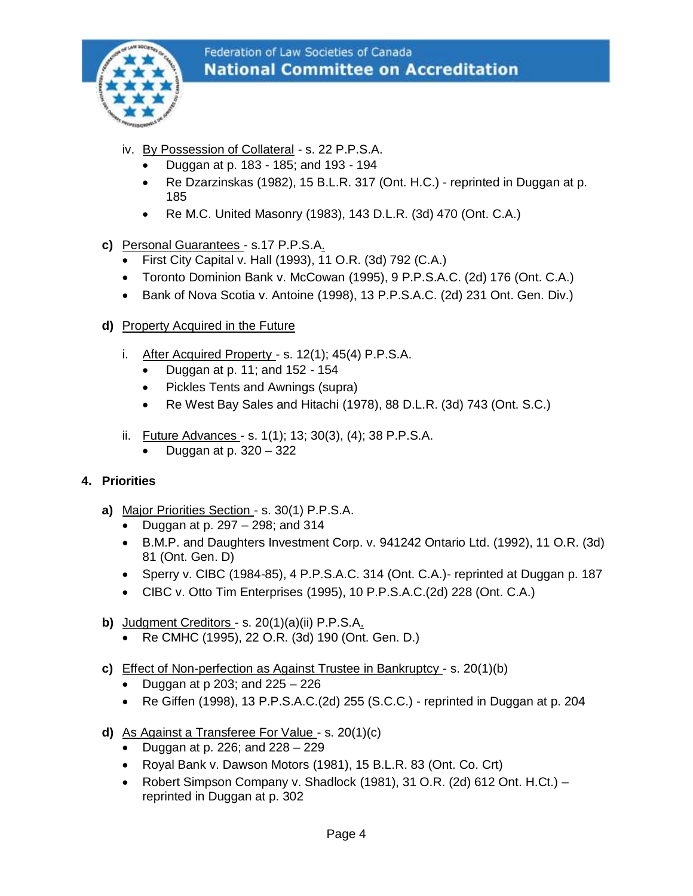

- iv. By Possession of Collateral s. 22 P.P.S.A.
	- Duggan at p. 183 185; and 193 194
	- Re Dzarzinskas (1982), 15 B.L.R. 317 (Ont. H.C.) reprinted in Duggan at p. 185
	- Re M.C. United Masonry (1983), 143 D.L.R. (3d) 470 (Ont. C.A.)
- **c)** Personal Guarantees s.17 P.P.S.A.
	- First City Capital v. Hall (1993), 11 O.R. (3d) 792 (C.A.)
	- Toronto Dominion Bank v. McCowan (1995), 9 P.P.S.A.C. (2d) 176 (Ont. C.A.)
	- Bank of Nova Scotia v. Antoine (1998), 13 P.P.S.A.C. (2d) 231 Ont. Gen. Div.)
- **d)** Property Acquired in the Future
	- i. After Acquired Property s.  $12(1)$ ;  $45(4)$  P.P.S.A.
		- Duggan at p. 11; and  $152 154$
		- Pickles Tents and Awnings (supra)
		- Re West Bay Sales and Hitachi (1978), 88 D.L.R. (3d) 743 (Ont. S.C.)
	- ii. Future Advances s. 1(1); 13; 30(3), (4); 38 P.P.S.A.
		- Duggan at p. 320 322

#### **4. Priorities**

- **a)** Major Priorities Section s. 30(1) P.P.S.A.
	- Duggan at p. 297 298; and 314
	- B.M.P. and Daughters Investment Corp. v. 941242 Ontario Ltd. (1992), 11 O.R. (3d) 81 (Ont. Gen. D)
	- Sperry v. CIBC (1984-85), 4 P.P.S.A.C. 314 (Ont. C.A.)- reprinted at Duggan p. 187
	- CIBC v. Otto Tim Enterprises (1995), 10 P.P.S.A.C.(2d) 228 (Ont. C.A.)
- **b)** Judgment Creditors s. 20(1)(a)(ii) P.P.S.A.
	- Re CMHC (1995), 22 O.R. (3d) 190 (Ont. Gen. D.)
- **c)** Effect of Non-perfection as Against Trustee in Bankruptcy s. 20(1)(b)
	- Duggan at  $p$  203; and 225 226
	- Re Giffen (1998), 13 P.P.S.A.C.(2d) 255 (S.C.C.) reprinted in Duggan at p. 204
- **d)** As Against a Transferee For Value s. 20(1)(c)
	- Duggan at p. 226; and  $228 229$
	- Royal Bank v. Dawson Motors (1981), 15 B.L.R. 83 (Ont. Co. Crt)
	- Robert Simpson Company v. Shadlock (1981), 31 O.R. (2d) 612 Ont. H.Ct.) reprinted in Duggan at p. 302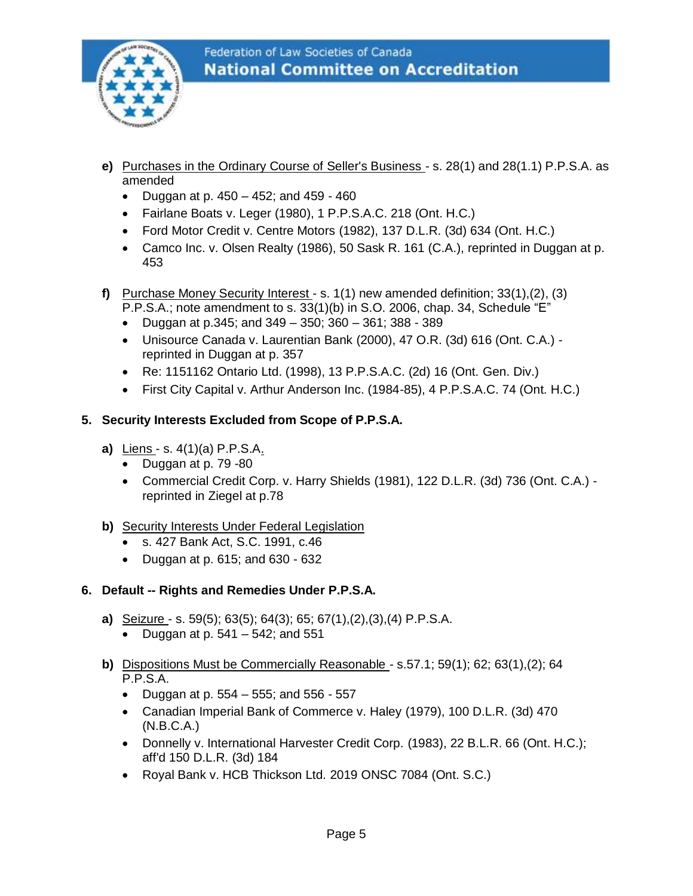

- **e)** Purchases in the Ordinary Course of Seller's Business s. 28(1) and 28(1.1) P.P.S.A. as amended
	- Duggan at p.  $450 452$ ; and  $459 460$
	- Fairlane Boats v. Leger (1980), 1 P.P.S.A.C. 218 (Ont. H.C.)
	- Ford Motor Credit v. Centre Motors (1982), 137 D.L.R. (3d) 634 (Ont. H.C.)
	- Camco Inc. v. Olsen Realty (1986), 50 Sask R. 161 (C.A.), reprinted in Duggan at p. 453
- **f)** Purchase Money Security Interest s. 1(1) new amended definition; 33(1),(2), (3) P.P.S.A.; note amendment to s. 33(1)(b) in S.O. 2006, chap. 34, Schedule "E"
	- Duggan at p.345; and 349 350; 360 361; 388 389
	- Unisource Canada v. Laurentian Bank (2000), 47 O.R. (3d) 616 (Ont. C.A.) reprinted in Duggan at p. 357
	- Re: 1151162 Ontario Ltd. (1998), 13 P.P.S.A.C. (2d) 16 (Ont. Gen. Div.)
	- First City Capital v. Arthur Anderson Inc. (1984-85), 4 P.P.S.A.C. 74 (Ont. H.C.)

#### **5. Security Interests Excluded from Scope of P.P.S.A.**

- **a)** Liens s. 4(1)(a) P.P.S.A.
	- Duggan at p. 79 -80
	- Commercial Credit Corp. v. Harry Shields (1981), 122 D.L.R. (3d) 736 (Ont. C.A.) reprinted in Ziegel at p.78
- **b)** Security Interests Under Federal Legislation
	- s. 427 Bank Act, S.C. 1991, c.46
	- Duggan at p. 615; and 630 632

#### **6. Default -- Rights and Remedies Under P.P.S.A.**

- **a)** Seizure s. 59(5); 63(5); 64(3); 65; 67(1),(2),(3),(4) P.P.S.A.
	- Duggan at p.  $541 542$ ; and  $551$
- **b)** Dispositions Must be Commercially Reasonable s.57.1; 59(1); 62; 63(1),(2); 64 P.P.S.A.
	- Duggan at p. 554 555; and 556 557
	- Canadian Imperial Bank of Commerce v. Haley (1979), 100 D.L.R. (3d) 470 (N.B.C.A.)
	- Donnelly v. International Harvester Credit Corp. (1983), 22 B.L.R. 66 (Ont. H.C.); aff'd 150 D.L.R. (3d) 184
	- Royal Bank v. HCB Thickson Ltd. 2019 ONSC 7084 (Ont. S.C.)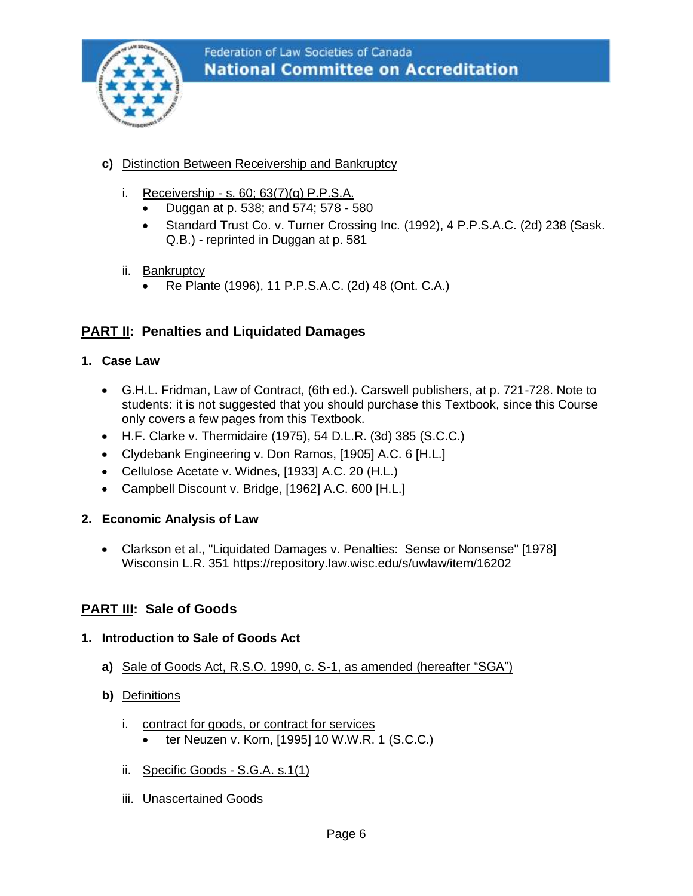

- **c)** Distinction Between Receivership and Bankruptcy
	- i. Receivership s. 60; 63(7)(g) P.P.S.A.
		- Duggan at p. 538; and 574; 578 580
		- Standard Trust Co. v. Turner Crossing Inc. (1992), 4 P.P.S.A.C. (2d) 238 (Sask. Q.B.) - reprinted in Duggan at p. 581
	- ii. Bankruptcy
		- Re Plante (1996), 11 P.P.S.A.C. (2d) 48 (Ont. C.A.)

#### **PART II: Penalties and Liquidated Damages**

- **1. Case Law**
	- G.H.L. Fridman, Law of Contract, (6th ed.). Carswell publishers, at p. 721-728. Note to students: it is not suggested that you should purchase this Textbook, since this Course only covers a few pages from this Textbook.
	- H.F. Clarke v. Thermidaire (1975), 54 D.L.R. (3d) 385 (S.C.C.)
	- Clydebank Engineering v. Don Ramos, [1905] A.C. 6 [H.L.]
	- Cellulose Acetate v. Widnes, [1933] A.C. 20 (H.L.)
	- Campbell Discount v. Bridge, [1962] A.C. 600 [H.L.]

#### **2. Economic Analysis of Law**

• Clarkson et al., "Liquidated Damages v. Penalties: Sense or Nonsense" [1978] Wisconsin L.R. 351<https://repository.law.wisc.edu/s/uwlaw/item/16202>

#### **PART III: Sale of Goods**

#### **1. Introduction to Sale of Goods Act**

- **a)** Sale of Goods Act, R.S.O. 1990, c. S-1, as amended (hereafter "SGA")
- **b)** Definitions
	- i. contract for goods, or contract for services
		- ter Neuzen v. Korn, [1995] 10 W.W.R. 1 (S.C.C.)
	- ii. Specific Goods S.G.A. s.1(1)
	- iii. Unascertained Goods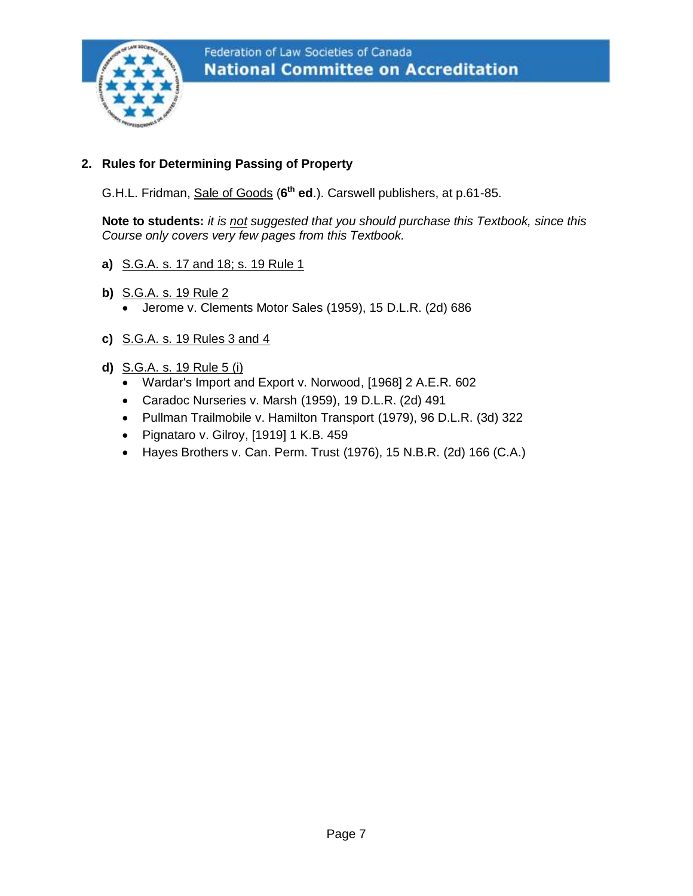

#### **2. Rules for Determining Passing of Property**

G.H.L. Fridman, Sale of Goods (**6 th ed**.). Carswell publishers, at p.61-85.

**Note to students:** *it is not suggested that you should purchase this Textbook, since this Course only covers very few pages from this Textbook.*

- **a)** S.G.A. s. 17 and 18; s. 19 Rule 1
- **b)** S.G.A. s. 19 Rule 2 • Jerome v. Clements Motor Sales (1959), 15 D.L.R. (2d) 686
- **c)** S.G.A. s. 19 Rules 3 and 4
- **d)** S.G.A. s. 19 Rule 5 (i)
	- Wardar's Import and Export v. Norwood, [1968] 2 A.E.R. 602
	- Caradoc Nurseries v. Marsh (1959), 19 D.L.R. (2d) 491
	- Pullman Trailmobile v. Hamilton Transport (1979), 96 D.L.R. (3d) 322
	- Pignataro v. Gilroy, [1919] 1 K.B. 459
	- Hayes Brothers v. Can. Perm. Trust (1976), 15 N.B.R. (2d) 166 (C.A.)